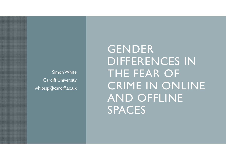Simon WhiteCardiff University whitesp@cardiff.ac.uk

GENDER DIFFERENCES IN THE FEAR OF CRIME IN ONLINE AND OFFLINE SPACES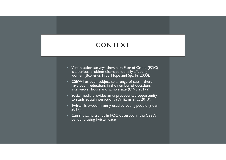### CONTEXT

- $\bullet\;$  Victimisation surveys show that Fear of Crime (FOC)  $\;$ is a serious problem disproportionally affecting women (Box *et al.* 1988; Hope and Sparks 2000).
- CSEW has been subject to a range of cuts there have been reductions in the number of questions, interviewer hours and sample size (ONS 2017a).
- Social media provides an unprecedented opportunity to study social interactions (Williams *et al.* 2013).
- Twitter is predominantly used by young people (Sloan 2017).
- Can the same trends in FOC observed in the CSEW be found using Twitter data?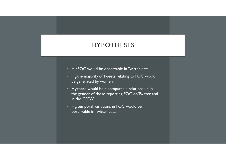#### HYPOTHESES

- $\bullet\;$  H<sub>1</sub>: FOC would be observable in Twitter data.
- $\bullet\;$  H<sub>2</sub>:the majority of tweets relating to FOC would be generated by women.
- $\bullet$  H<sub>3</sub>: there would be a comparable relationship in the gender of those reporting FOC on Twitter and in the CSEW.
- $\bullet\;$  H<sub>4</sub>: temporal variations in FOC would be observable in Twitter data.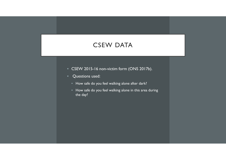#### CSEW DATA

- CSEW 2015-16 non-victim form (ONS 2017b).
- Questions used:
	- How safe do you feel walking alone after dark?
	- How safe do you feel walking alone in this area during the day?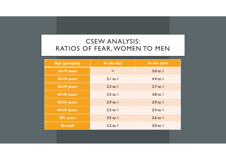### CSEW ANALYSIS: RATIOS OF FEAR, WOMEN TO MEN

| Age (grouped)      | 'In the day'            | 'In the dark'           |
|--------------------|-------------------------|-------------------------|
| 16-19 years        | $\infty$                | $3.0$ to $\overline{1}$ |
| 20-29 years        | $5.1$ to $1$            | $4.4$ to $\overline{1}$ |
| <b>30-39 years</b> | $2.3$ to $\overline{1}$ | $3.7$ to $\overline{1}$ |
| <b>40-49 years</b> | $3.5$ to $\overline{1}$ | $3.8$ to $\overline{1}$ |
| <b>50-59 years</b> | $2.9$ to $\overline{1}$ | $2.9$ to $\overline{1}$ |
| <b>60-69 years</b> | $2.5$ to $1$            | $2.4$ to $\overline{1}$ |
| 70+ years          | $3.5$ to $\overline{1}$ | $2.6$ to $\overline{1}$ |
| <b>Overall</b>     | $3.2$ to $\overline{1}$ | $3.0$ to $\overline{1}$ |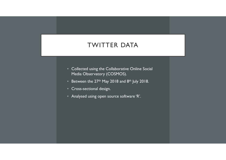#### TWITTER DATA

- Collected using the Collaborative Online Social Media Observatory (COSMOS).
- $\bullet$  Between the 27<sup>th</sup> May 2018 and 8<sup>th</sup> July 2018.
- Cross-sectional design.
- Analysed using open source software 'R'.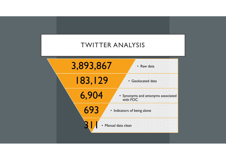## TWITTER ANALYSIS

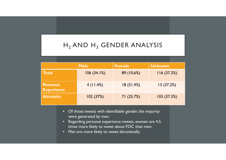# ${\sf H_2}$  AND  ${\sf H_3}$  GENDER ANALYSIS

|                                      | <b>Male</b> | <b>Female</b> | <b>Unknown</b> |
|--------------------------------------|-------------|---------------|----------------|
| <b>Total</b>                         | 106(34.1%)  | 89 (10.6%)    | 116(37.3%)     |
| <b>Personal</b><br><b>Experience</b> | $4$ (11.4%) | 18(51.4%)     | 13(37.2%)      |
| <b>Altruistic</b>                    | 102(37%)    | 71(25.7%)     | 103(37.3%)     |

- Of those tweets with identifiable gender, the majority were generated by men.
- Regarding personal experience tweets, women are 4.5 times more likely to tweet about FOC than men.
- Men are more likely to tweet altruistically.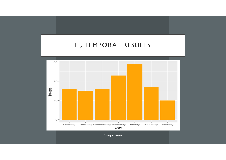### $\mathsf{H}_4$  TEMPORAL RESULTS



\* unique tweets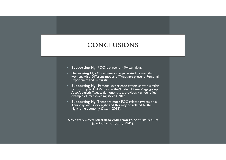### CONCLUSIONS

- **Supporting H**<sub>1</sub> FOC is present in Twitter data.
- **Disproving H**<sub>2</sub> More Tweets are generated by men than women. Also Different modes of Tweet are present, 'Personal Experience' and 'Altruistic'.
- $\bullet$  **Supporting H**<sub>3</sub> Personal experience tweets show a similar relationship to CSEW data in the 'Under 30 years' age group. Also Altruistic Tweets demonstrate a previously unidentified example of 'mansplaining' (Solnit 2014).
- **Supporting H<sub>4</sub>** There are more FOC-related tweets on a Thursday and Friday night and this may be related to the night-time economy (Swann 2012).

**Next step – extended data collection to confirm results (part of an ongoing PhD).**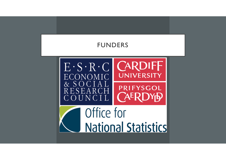